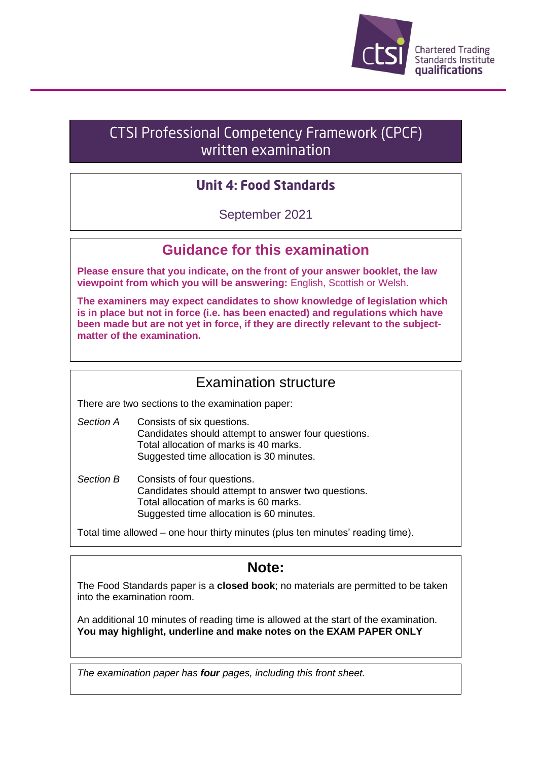

# CTSI Professional Competency Framework (CPCF) written examination

## **Unit 4: Food Standards**

September 2021

## **Guidance for this examination**

**Please ensure that you indicate, on the front of your answer booklet, the law viewpoint from which you will be answering:** English, Scottish or Welsh.

**The examiners may expect candidates to show knowledge of legislation which is in place but not in force (i.e. has been enacted) and regulations which have been made but are not yet in force, if they are directly relevant to the subjectmatter of the examination.**

### Examination structure

There are two sections to the examination paper:

- *Section A* Consists of six questions. Candidates should attempt to answer four questions. Total allocation of marks is 40 marks. Suggested time allocation is 30 minutes.
- *Section B* Consists of four questions. Candidates should attempt to answer two questions. Total allocation of marks is 60 marks. Suggested time allocation is 60 minutes.

Total time allowed – one hour thirty minutes (plus ten minutes' reading time).

## **Note:**

The Food Standards paper is a **closed book**; no materials are permitted to be taken into the examination room.

An additional 10 minutes of reading time is allowed at the start of the examination. **You may highlight, underline and make notes on the EXAM PAPER ONLY**

*The examination paper has four pages, including this front sheet.*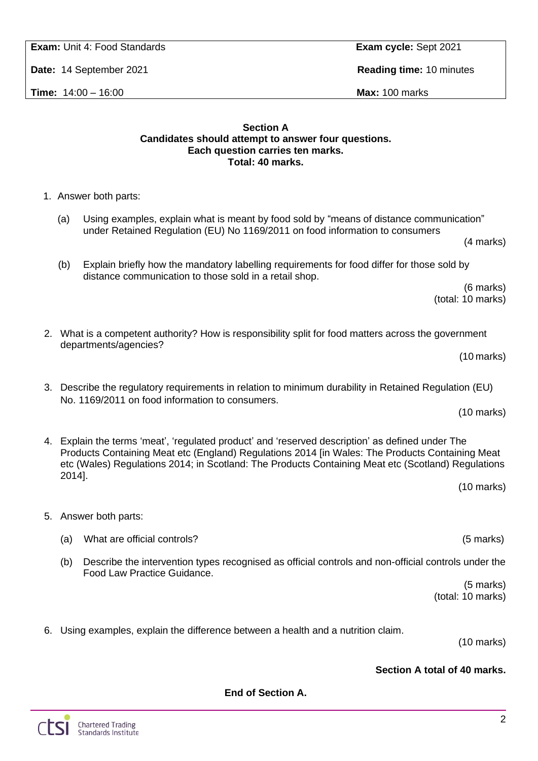## 2

**Date:** 14 September 2021 **Reading time:** 10 minutes

**Time:** 14:00 – 16:00 **Max:** 100 marks

#### **Section A Candidates should attempt to answer four questions. Each question carries ten marks. Total: 40 marks.**

- 1. Answer both parts:
	- (a) Using examples, explain what is meant by food sold by "means of distance communication" under Retained Regulation (EU) No 1169/2011 on food information to consumers (4 marks)
	- (b) Explain briefly how the mandatory labelling requirements for food differ for those sold by distance communication to those sold in a retail shop.

(6 marks) (total: 10 marks)

(10 marks)

(10 marks)

(10 marks)

- 2. What is a competent authority? How is responsibility split for food matters across the government departments/agencies?
- 3. Describe the regulatory requirements in relation to minimum durability in Retained Regulation (EU) No. 1169/2011 on food information to consumers.

4. Explain the terms 'meat', 'regulated product' and 'reserved description' as defined under The Products Containing Meat etc (England) Regulations 2014 [in Wales: The Products Containing Meat etc (Wales) Regulations 2014; in Scotland: The Products Containing Meat etc (Scotland) Regulations 2014].

- 5. Answer both parts:
	- (a) What are official controls? (5 marks)
	- (b) Describe the intervention types recognised as official controls and non-official controls under the Food Law Practice Guidance.

**End of Section A.**

(5 marks) (total: 10 marks)

6. Using examples, explain the difference between a health and a nutrition claim.

(10 marks)

### **Section A total of 40 marks.**

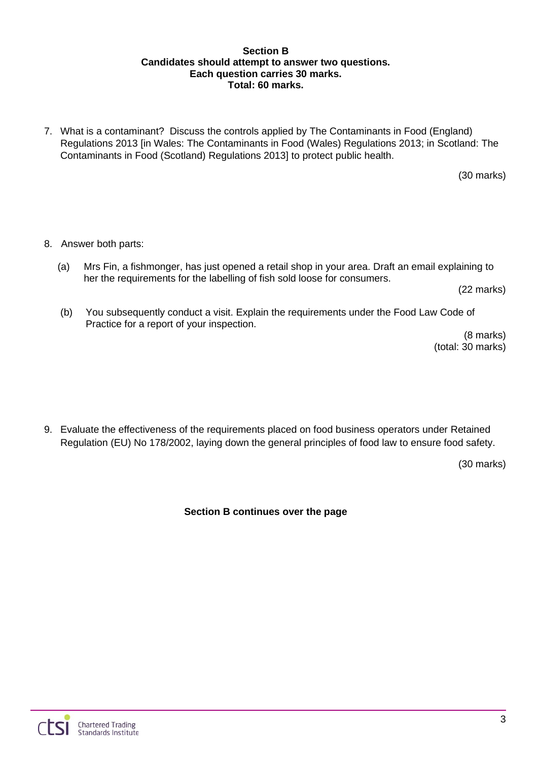#### **Section B Candidates should attempt to answer two questions. Each question carries 30 marks. Total: 60 marks.**

7. What is a contaminant? Discuss the controls applied by The Contaminants in Food (England) Regulations 2013 [in Wales: The Contaminants in Food (Wales) Regulations 2013; in Scotland: The Contaminants in Food (Scotland) Regulations 2013] to protect public health.

(30 marks)

- 8. Answer both parts:
	- (a) Mrs Fin, a fishmonger, has just opened a retail shop in your area. Draft an email explaining to her the requirements for the labelling of fish sold loose for consumers.

(22 marks)

(b) You subsequently conduct a visit. Explain the requirements under the Food Law Code of Practice for a report of your inspection.

(8 marks) (total: 30 marks)

9. Evaluate the effectiveness of the requirements placed on food business operators under Retained Regulation (EU) No 178/2002, laying down the general principles of food law to ensure food safety.

(30 marks)

**Section B continues over the page**